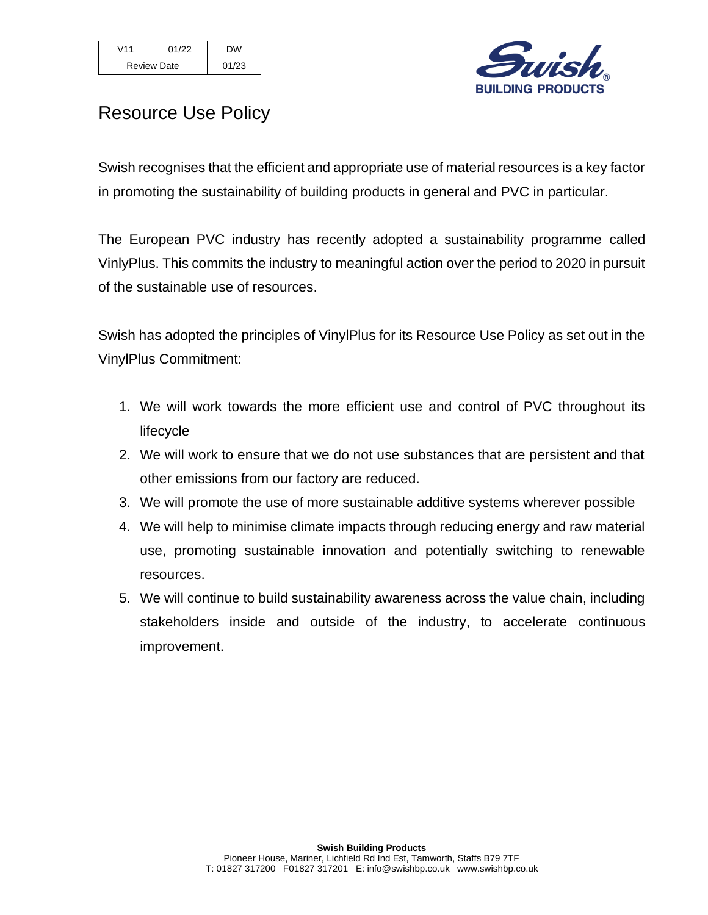| V <sub>11</sub>    | 01/22 | DW    |
|--------------------|-------|-------|
| <b>Review Date</b> |       | 01/23 |



## Resource Use Policy

Swish recognises that the efficient and appropriate use of material resources is a key factor in promoting the sustainability of building products in general and PVC in particular.

The European PVC industry has recently adopted a sustainability programme called VinlyPlus. This commits the industry to meaningful action over the period to 2020 in pursuit of the sustainable use of resources.

Swish has adopted the principles of VinylPlus for its Resource Use Policy as set out in the VinylPlus Commitment:

- 1. We will work towards the more efficient use and control of PVC throughout its lifecycle
- 2. We will work to ensure that we do not use substances that are persistent and that other emissions from our factory are reduced.
- 3. We will promote the use of more sustainable additive systems wherever possible
- 4. We will help to minimise climate impacts through reducing energy and raw material use, promoting sustainable innovation and potentially switching to renewable resources.
- 5. We will continue to build sustainability awareness across the value chain, including stakeholders inside and outside of the industry, to accelerate continuous improvement.